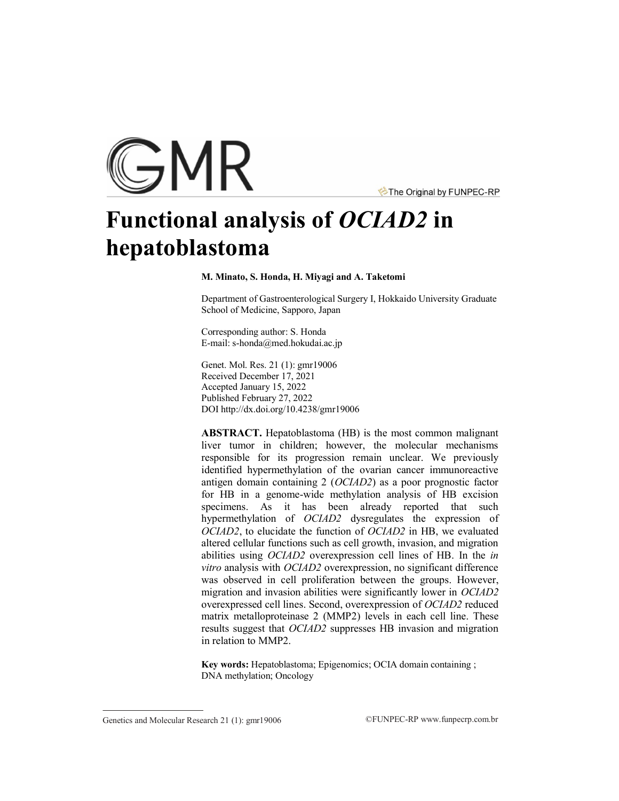

The Original by FUNPEC-RP

# **Functional analysis of** *OCIAD2* **in hepatoblastoma**

**M. Minato, S. Honda, H. Miyagi and A. Taketomi**

Department of Gastroenterological Surgery I, Hokkaido University Graduate School of Medicine, Sapporo, Japan

Corresponding author: S. Honda E-mail: s-honda@med.hokudai.ac.jp

Genet. Mol. Res. 21 (1): gmr19006 Received December 17, 2021 Accepted January 15, 2022 Published February 27, 2022 DO[I http://dx.doi.org/10.4238/gmr19006](http://dx.doi.org/10.4238/gmr19006)

**ABSTRACT.** Hepatoblastoma (HB) is the most common malignant liver tumor in children; however, the molecular mechanisms responsible for its progression remain unclear. We previously identified hypermethylation of the ovarian cancer immunoreactive antigen domain containing 2 (*OCIAD2*) as a poor prognostic factor for HB in a genome-wide methylation analysis of HB excision specimens. As it has been already reported that such hypermethylation of *OCIAD2* dysregulates the expression of *OCIAD2*, to elucidate the function of *OCIAD2* in HB, we evaluated altered cellular functions such as cell growth, invasion, and migration abilities using *OCIAD2* overexpression cell lines of HB. In the *in vitro* analysis with *OCIAD2* overexpression, no significant difference was observed in cell proliferation between the groups. However, migration and invasion abilities were significantly lower in *OCIAD2*  overexpressed cell lines. Second, overexpression of *OCIAD2* reduced matrix metalloproteinase 2 (MMP2) levels in each cell line. These results suggest that *OCIAD2* suppresses HB invasion and migration in relation to MMP2.

**Key words:** Hepatoblastoma; Epigenomics; OCIA domain containing ; DNA methylation; Oncology

Genetics and Molecular Research 21 (1): gmr19006 ©FUNPEC-RP www.funpecrp.com.br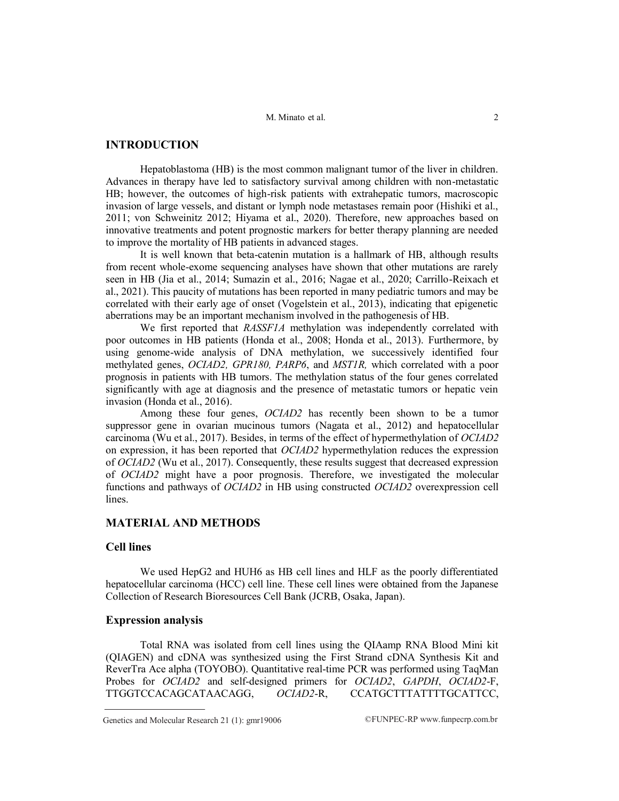# **INTRODUCTION**

Hepatoblastoma (HB) is the most common malignant tumor of the liver in children. Advances in therapy have led to satisfactory survival among children with non-metastatic HB; however, the outcomes of high-risk patients with extrahepatic tumors, macroscopic invasion of large vessels, and distant or lymph node metastases remain poor (Hishiki et al., 2011; von Schweinitz 2012; Hiyama et al., 2020). Therefore, new approaches based on innovative treatments and potent prognostic markers for better therapy planning are needed to improve the mortality of HB patients in advanced stages.

It is well known that beta-catenin mutation is a hallmark of HB, although results from recent whole-exome sequencing analyses have shown that other mutations are rarely seen in HB (Jia et al., 2014; Sumazin et al., 2016; Nagae et al., 2020; Carrillo-Reixach et al., 2021). This paucity of mutations has been reported in many pediatric tumors and may be correlated with their early age of onset (Vogelstein et al., 2013), indicating that epigenetic aberrations may be an important mechanism involved in the pathogenesis of HB.

We first reported that *RASSF1A* methylation was independently correlated with poor outcomes in HB patients (Honda et al., 2008; Honda et al., 2013). Furthermore, by using genome-wide analysis of DNA methylation, we successively identified four methylated genes, *OCIAD2, GPR180, PARP6*, and *MST1R,* which correlated with a poor prognosis in patients with HB tumors. The methylation status of the four genes correlated significantly with age at diagnosis and the presence of metastatic tumors or hepatic vein invasion (Honda et al., 2016).

Among these four genes, *OCIAD2* has recently been shown to be a tumor suppressor gene in ovarian mucinous tumors (Nagata et al., 2012) and hepatocellular carcinoma (Wu et al., 2017). Besides, in terms of the effect of hypermethylation of *OCIAD2* on expression, it has been reported that *OCIAD2* hypermethylation reduces the expression of *OCIAD2* (Wu et al., 2017). Consequently, these results suggest that decreased expression of *OCIAD2* might have a poor prognosis. Therefore, we investigated the molecular functions and pathways of *OCIAD2* in HB using constructed *OCIAD2* overexpression cell lines.

# **MATERIAL AND METHODS**

## **Cell lines**

We used HepG2 and HUH6 as HB cell lines and HLF as the poorly differentiated hepatocellular carcinoma (HCC) cell line. These cell lines were obtained from the Japanese Collection of Research Bioresources Cell Bank (JCRB, Osaka, Japan).

#### **Expression analysis**

Total RNA was isolated from cell lines using the QIAamp RNA Blood Mini kit (QIAGEN) and cDNA was synthesized using the First Strand cDNA Synthesis Kit and ReverTra Ace alpha (TOYOBO). Quantitative real-time PCR was performed using TaqMan Probes for *OCIAD2* and self-designed primers for *OCIAD2*, *GAPDH*, *OCIAD2*-F, TTGGTCCACAGCATAACAGG, *OCIAD2*-R, CCATGCTTTATTTTGCATTCC,

Genetics and Molecular Research 21 (1):  $gmr19006$  ©FUNPEC-RP www.funpecrp.com.br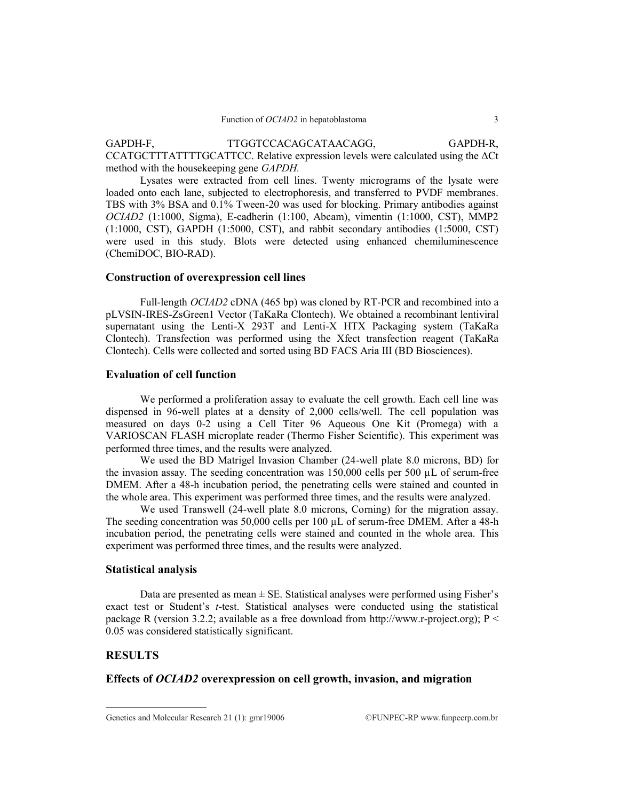GAPDH-F, TTGGTCCACAGCATAACAGG, GAPDH-R, CCATGCTTTATTTTGCATTCC. Relative expression levels were calculated using the ΔCt method with the housekeeping gene *GAPDH.*

Lysates were extracted from cell lines. Twenty micrograms of the lysate were loaded onto each lane, subjected to electrophoresis, and transferred to PVDF membranes. TBS with 3% BSA and 0.1% Tween-20 was used for blocking. Primary antibodies against *OCIAD2* (1:1000, Sigma), E-cadherin (1:100, Abcam), vimentin (1:1000, CST), MMP2 (1:1000, CST), GAPDH (1:5000, CST), and rabbit secondary antibodies (1:5000, CST) were used in this study. Blots were detected using enhanced chemiluminescence (ChemiDOC, BIO-RAD).

#### **Construction of overexpression cell lines**

Full-length *OCIAD2* cDNA (465 bp) was cloned by RT-PCR and recombined into a pLVSIN-IRES-ZsGreen1 Vector (TaKaRa Clontech). We obtained a recombinant lentiviral supernatant using the Lenti-X 293T and Lenti-X HTX Packaging system (TaKaRa Clontech). Transfection was performed using the Xfect transfection reagent (TaKaRa Clontech). Cells were collected and sorted using BD FACS Aria III (BD Biosciences).

# **Evaluation of cell function**

We performed a proliferation assay to evaluate the cell growth. Each cell line was dispensed in 96-well plates at a density of 2,000 cells/well. The cell population was measured on days 0-2 using a Cell Titer 96 Aqueous One Kit (Promega) with a VARIOSCAN FLASH microplate reader (Thermo Fisher Scientific). This experiment was performed three times, and the results were analyzed.

We used the BD Matrigel Invasion Chamber (24-well plate 8.0 microns, BD) for the invasion assay. The seeding concentration was 150,000 cells per 500 µL of serum-free DMEM. After a 48-h incubation period, the penetrating cells were stained and counted in the whole area. This experiment was performed three times, and the results were analyzed.

We used Transwell (24-well plate 8.0 microns, Corning) for the migration assay. The seeding concentration was 50,000 cells per 100 µL of serum-free DMEM. After a 48-h incubation period, the penetrating cells were stained and counted in the whole area. This experiment was performed three times, and the results were analyzed.

#### **Statistical analysis**

Data are presented as mean  $\pm$  SE. Statistical analyses were performed using Fisher's exact test or Student's *t*-test. Statistical analyses were conducted using the statistical package R (version 3.2.2; available as a free download from http://www.r-project.org);  $P \le$ 0.05 was considered statistically significant.

#### **RESULTS**

# **Effects of** *OCIAD2* **overexpression on cell growth, invasion, and migration**

Genetics and Molecular Research 21 (1):  $gmr19006$  ©FUNPEC-RP www.funpecrp.com.br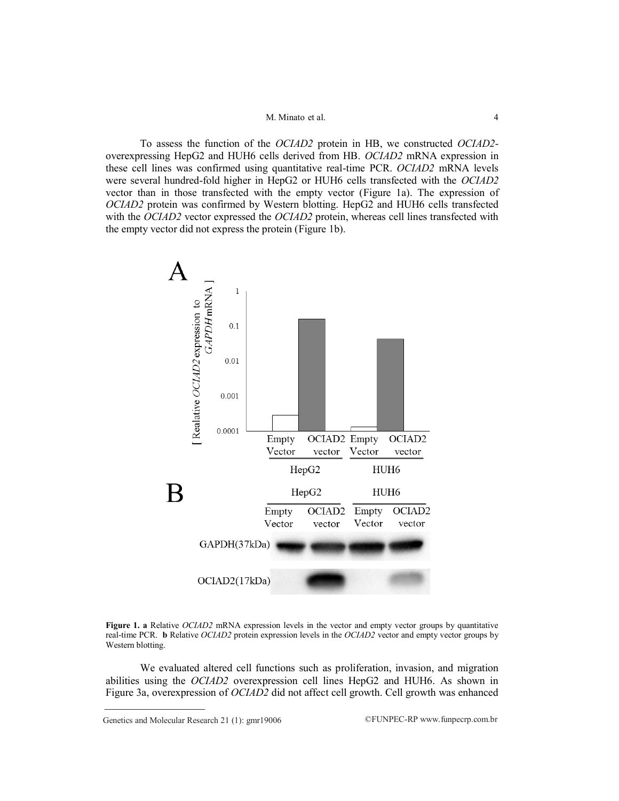#### M. Minato et al. 4

To assess the function of the *OCIAD2* protein in HB, we constructed *OCIAD2* overexpressing HepG2 and HUH6 cells derived from HB. *OCIAD2* mRNA expression in these cell lines was confirmed using quantitative real-time PCR. *OCIAD2* mRNA levels were several hundred-fold higher in HepG2 or HUH6 cells transfected with the *OCIAD2* vector than in those transfected with the empty vector (Figure 1a). The expression of *OCIAD2* protein was confirmed by Western blotting. HepG2 and HUH6 cells transfected with the *OCIAD2* vector expressed the *OCIAD2* protein, whereas cell lines transfected with the empty vector did not express the protein (Figure 1b).



**Figure 1. a** Relative *OCIAD2* mRNA expression levels in the vector and empty vector groups by quantitative real-time PCR. **b** Relative *OCIAD2* protein expression levels in the *OCIAD2* vector and empty vector groups by Western blotting.

We evaluated altered cell functions such as proliferation, invasion, and migration abilities using the *OCIAD2* overexpression cell lines HepG2 and HUH6. As shown in Figure 3a, overexpression of *OCIAD2* did not affect cell growth. Cell growth was enhanced

Genetics and Molecular Research 21 (1):  $gmr19006$  ©FUNPEC-RP www.funpecrp.com.br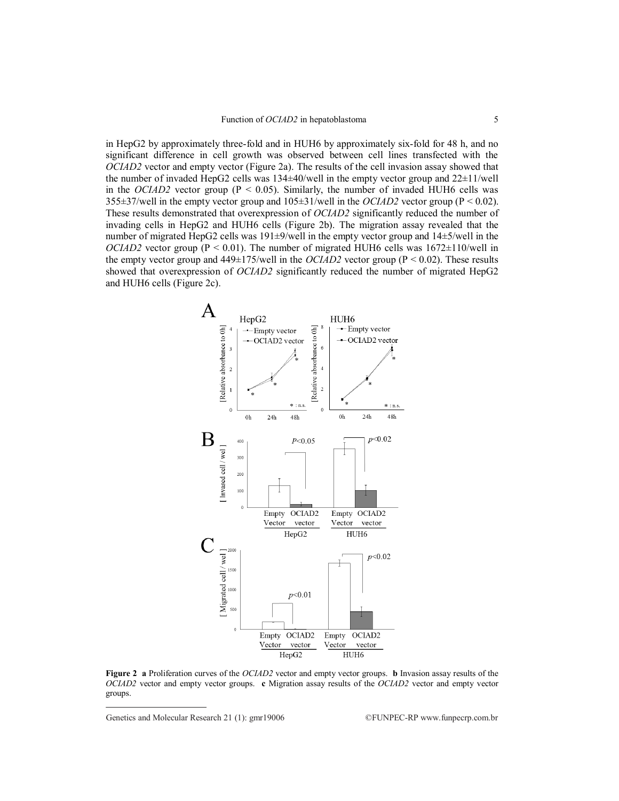in HepG2 by approximately three-fold and in HUH6 by approximately six-fold for 48 h, and no significant difference in cell growth was observed between cell lines transfected with the *OCIAD2* vector and empty vector (Figure 2a). The results of the cell invasion assay showed that the number of invaded HepG2 cells was  $134\pm40$ /well in the empty vector group and  $22\pm11$ /well in the *OCIAD2* vector group ( $P < 0.05$ ). Similarly, the number of invaded HUH6 cells was 355±37/well in the empty vector group and 105±31/well in the *OCIAD2* vector group (P < 0.02). These results demonstrated that overexpression of *OCIAD2* significantly reduced the number of invading cells in HepG2 and HUH6 cells (Figure 2b). The migration assay revealed that the number of migrated HepG2 cells was 191±9/well in the empty vector group and 14±5/well in the *OCIAD2* vector group ( $P \le 0.01$ ). The number of migrated HUH6 cells was  $1672 \pm 110$ /well in the empty vector group and  $449\pm175$ /well in the *OCIAD2* vector group ( $P \le 0.02$ ). These results showed that overexpression of *OCIAD2* significantly reduced the number of migrated HepG2 and HUH6 cells (Figure 2c).



**Figure 2 a** Proliferation curves of the *OCIAD2* vector and empty vector groups. **b** Invasion assay results of the *OCIAD2* vector and empty vector groups. **c** Migration assay results of the *OCIAD2* vector and empty vector groups.

Genetics and Molecular Research 21 (1):  $gmr19006$  ©FUNPEC-RP www.funpecrp.com.br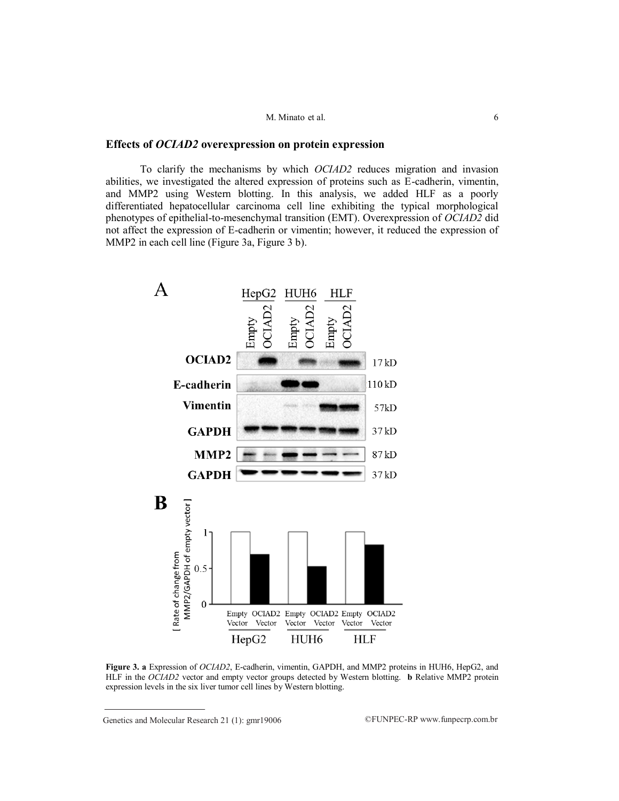#### M. Minato et al. 6

## **Effects of** *OCIAD2* **overexpression on protein expression**

To clarify the mechanisms by which *OCIAD2* reduces migration and invasion abilities, we investigated the altered expression of proteins such as E-cadherin, vimentin, and MMP2 using Western blotting. In this analysis, we added HLF as a poorly differentiated hepatocellular carcinoma cell line exhibiting the typical morphological phenotypes of epithelial-to-mesenchymal transition (EMT). Overexpression of *OCIAD2* did not affect the expression of E-cadherin or vimentin; however, it reduced the expression of MMP2 in each cell line (Figure 3a, Figure 3 b).



**Figure 3. a** Expression of *OCIAD2*, E-cadherin, vimentin, GAPDH, and MMP2 proteins in HUH6, HepG2, and HLF in the *OCIAD2* vector and empty vector groups detected by Western blotting. **b** Relative MMP2 protein expression levels in the six liver tumor cell lines by Western blotting.

Genetics and Molecular Research 21 (1):  $gmr19006$  ©FUNPEC-RP www.funpecrp.com.br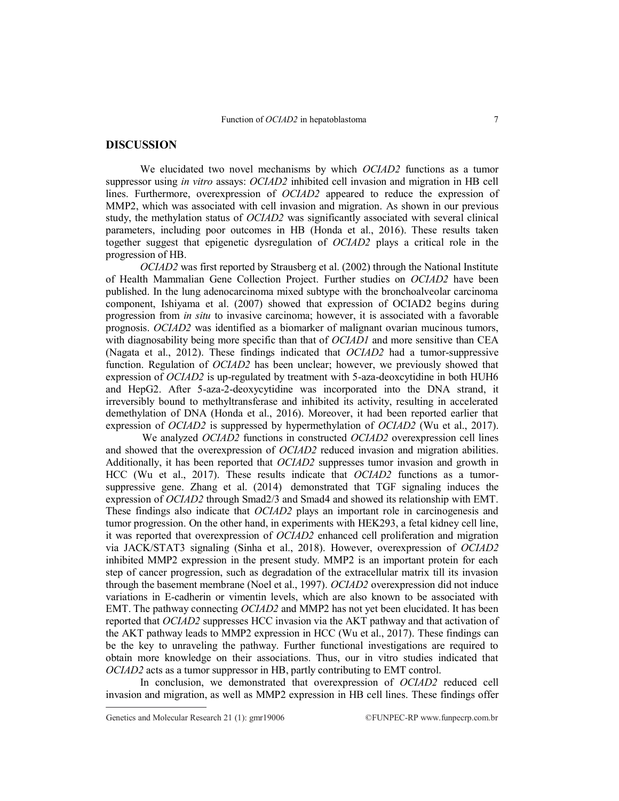## **DISCUSSION**

We elucidated two novel mechanisms by which *OCIAD2* functions as a tumor suppressor using *in vitro* assays: *OCIAD2* inhibited cell invasion and migration in HB cell lines. Furthermore, overexpression of *OCIAD2* appeared to reduce the expression of MMP2, which was associated with cell invasion and migration. As shown in our previous study, the methylation status of *OCIAD2* was significantly associated with several clinical parameters, including poor outcomes in HB (Honda et al., 2016). These results taken together suggest that epigenetic dysregulation of *OCIAD2* plays a critical role in the progression of HB.

*OCIAD2* was first reported by Strausberg et al. (2002) through the National Institute of Health Mammalian Gene Collection Project. Further studies on *OCIAD2* have been published. In the lung adenocarcinoma mixed subtype with the bronchoalveolar carcinoma component, Ishiyama et al. (2007) showed that expression of OCIAD2 begins during progression from *in situ* to invasive carcinoma; however, it is associated with a favorable prognosis. *OCIAD2* was identified as a biomarker of malignant ovarian mucinous tumors, with diagnosability being more specific than that of *OCIAD1* and more sensitive than CEA (Nagata et al., 2012). These findings indicated that *OCIAD2* had a tumor-suppressive function. Regulation of *OCIAD2* has been unclear; however, we previously showed that expression of *OCIAD2* is up-regulated by treatment with 5-aza-deoxcytidine in both HUH6 and HepG2. After 5-aza-2-deoxycytidine was incorporated into the DNA strand, it irreversibly bound to methyltransferase and inhibited its activity, resulting in accelerated demethylation of DNA (Honda et al., 2016). Moreover, it had been reported earlier that expression of *OCIAD2* is suppressed by hypermethylation of *OCIAD2* (Wu et al., 2017).

We analyzed *OCIAD2* functions in constructed *OCIAD2* overexpression cell lines and showed that the overexpression of *OCIAD2* reduced invasion and migration abilities. Additionally, it has been reported that *OCIAD2* suppresses tumor invasion and growth in HCC (Wu et al., 2017). These results indicate that *OCIAD2* functions as a tumorsuppressive gene. Zhang et al. (2014) demonstrated that TGF signaling induces the expression of *OCIAD2* through Smad2/3 and Smad4 and showed its relationship with EMT. These findings also indicate that *OCIAD2* plays an important role in carcinogenesis and tumor progression. On the other hand, in experiments with HEK293, a fetal kidney cell line, it was reported that overexpression of *OCIAD2* enhanced cell proliferation and migration via JACK/STAT3 signaling (Sinha et al., 2018). However, overexpression of *OCIAD2* inhibited MMP2 expression in the present study. MMP2 is an important protein for each step of cancer progression, such as degradation of the extracellular matrix till its invasion through the basement membrane (Noel et al., 1997). *OCIAD2* overexpression did not induce variations in E-cadherin or vimentin levels, which are also known to be associated with EMT. The pathway connecting *OCIAD2* and MMP2 has not yet been elucidated. It has been reported that *OCIAD2* suppresses HCC invasion via the AKT pathway and that activation of the AKT pathway leads to MMP2 expression in HCC (Wu et al., 2017). These findings can be the key to unraveling the pathway. Further functional investigations are required to obtain more knowledge on their associations. Thus, our in vitro studies indicated that *OCIAD2* acts as a tumor suppressor in HB, partly contributing to EMT control.

In conclusion, we demonstrated that overexpression of *OCIAD2* reduced cell invasion and migration, as well as MMP2 expression in HB cell lines. These findings offer

Genetics and Molecular Research 21 (1):  $gmr19006$  ©FUNPEC-RP www.funpecrp.com.br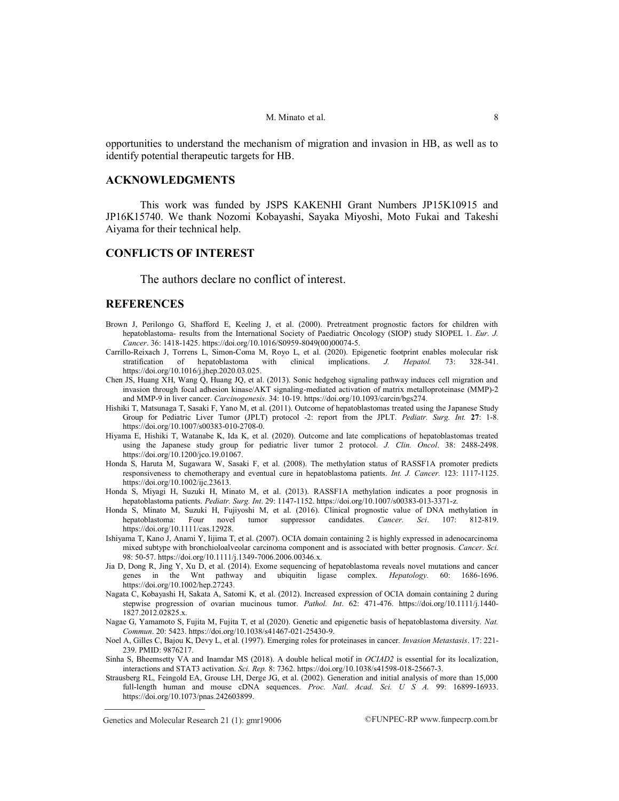opportunities to understand the mechanism of migration and invasion in HB, as well as to identify potential therapeutic targets for HB.

## **ACKNOWLEDGMENTS**

This work was funded by JSPS KAKENHI Grant Numbers JP15K10915 and JP16K15740. We thank Nozomi Kobayashi, Sayaka Miyoshi, Moto Fukai and Takeshi Aiyama for their technical help.

# **CONFLICTS OF INTEREST**

The authors declare no conflict of interest.

#### **REFERENCES**

- Brown J, Perilongo G, Shafford E, Keeling J, et al. (2000). Pretreatment prognostic factors for children with hepatoblastoma- results from the International Society of Paediatric Oncology (SIOP) study SIOPEL 1. *Eur. J. Cancer*. 36: 1418-1425[. https://doi.org/10.1016/S0959-8049\(00\)00074-5.](https://doi.org/10.1016/S0959-8049(00)00074-5)
- Carrillo-Reixach J, Torrens L, Simon-Coma M, Royo L, et al. (2020). Epigenetic footprint enables molecular risk stratification of hepatoblastoma with clinical implications. *J. Hepatol.* 73: 328-341. stratification of hepatoblastoma with clinical implications. *J. Hepatol.* 73: 328-341. [https://doi.org/10.1016/j.jhep.2020.03.025.](https://doi.org/10.1016/j.jhep.2020.03.025)
- Chen JS, Huang XH, Wang Q, Huang JQ, et al. (2013). Sonic hedgehog signaling pathway induces cell migration and invasion through focal adhesion kinase/AKT signaling-mediated activation of matrix metalloproteinase (MMP)-2 and MMP-9 in liver cancer. *Carcinogenesis.* 34: 10-19[. https://doi.org/10.1093/carcin/bgs274.](https://doi.org/10.1093/carcin/bgs274)
- Hishiki T, Matsunaga T, Sasaki F, Yano M, et al. (2011). Outcome of hepatoblastomas treated using the Japanese Study Group for Pediatric Liver Tumor (JPLT) protocol -2: report from the JPLT. *Pediatr. Surg. Int.* **27**: 1-8. [https://doi.org/10.1007/s00383-010-2708-0.](https://doi.org/10.1007/s00383-010-2708-0)
- Hiyama E, Hishiki T, Watanabe K, Ida K, et al. (2020). Outcome and late complications of hepatoblastomas treated using the Japanese study group for pediatric liver tumor 2 protocol. *J. Clin. Oncol*. 38: 2488-2498. [https://doi.org/10.1200/jco.19.01067.](https://doi.org/10.1200/jco.19.01067)
- Honda S, Haruta M, Sugawara W, Sasaki F, et al. (2008). The methylation status of RASSF1A promoter predicts responsiveness to chemotherapy and eventual cure in hepatoblastoma patients. *Int. J. Cancer.* 123: 1117-1125. [https://doi.org/10.1002/ijc.23613.](https://doi.org/10.1002/ijc.23613)
- Honda S, Miyagi H, Suzuki H, Minato M, et al. (2013). RASSF1A methylation indicates a poor prognosis in hepatoblastoma patients. *Pediatr. Surg. Int*. 29: 1147-1152[. https://doi.org/10.1007/s00383-013-3371-z.](https://doi.org/10.1007/s00383-013-3371-z)
- Honda S, Minato M, Suzuki H, Fujiyoshi M, et al. (2016). Clinical prognostic value of DNA methylation in hepatoblastoma: Four novel tumor suppressor candidates. *Cancer. Sci*. 107: 812-819. [https://doi.org/10.1111/cas.12928.](https://doi.org/10.1111/cas.12928)
- Ishiyama T, Kano J, Anami Y, Iijima T, et al. (2007). OCIA domain containing 2 is highly expressed in adenocarcinoma mixed subtype with bronchioloalveolar carcinoma component and is associated with better prognosis. *Cancer. Sci.*  98: 50-57[. https://doi.org/10.1111/j.1349-7006.2006.00346.x.](https://doi.org/10.1111/j.1349-7006.2006.00346.x)
- Jia D, Dong R, Jing Y, Xu D, et al. (2014). Exome sequencing of hepatoblastoma reveals novel mutations and cancer genes in the Wnt pathway and ubiquitin ligase complex. *Hepatology.* 60: 1686-1696. [https://doi.org/10.1002/hep.27243.](https://doi.org/10.1002/hep.27243)
- Nagata C, Kobayashi H, Sakata A, Satomi K, et al. (2012). Increased expression of OCIA domain containing 2 during stepwise progression of ovarian mucinous tumor. *Pathol. Int*. 62: 471-476. [https://doi.org/10.1111/j.1440-](https://doi.org/10.1111/j.1440-1827.2012.02825.x) [1827.2012.02825.x.](https://doi.org/10.1111/j.1440-1827.2012.02825.x)
- Nagae G, Yamamoto S, Fujita M, Fujita T, et al (2020). Genetic and epigenetic basis of hepatoblastoma diversity. *Nat. Commun*. 20: 5423[. https://doi.org/10.1038/s41467-021-25430-9.](https://doi.org/10.1038/s41467-021-25430-9)
- Noel A, Gilles C, Bajou K, Devy L, et al. (1997). Emerging roles for proteinases in cancer. *Invasion Metastasis*. 17: 221- 239. PMID: 9876217.
- Sinha S, Bheemsetty VA and Inamdar MS (2018). A double helical motif in *OCIAD2* is essential for its localization, interactions and STAT3 activation. *Sci. Rep.* 8: 7362. https://doi.org/10.1038/s41598-018-25667-3.
- Strausberg RL, Feingold EA, Grouse LH, Derge JG, et al. (2002). Generation and initial analysis of more than 15,000 full-length human and mouse cDNA sequences. *Proc. Natl. Acad. Sci. U S A.* 99: 16899-16933. [https://doi.org/10.1073/pnas.242603899.](https://doi.org/10.1073/pnas.242603899)

Genetics and Molecular Research 21 (1):  $gmr19006$  ©FUNPEC-RP www.funpecrp.com.br